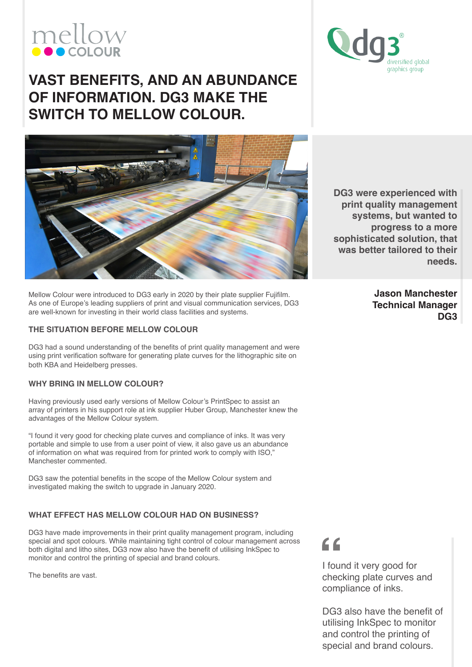# mellow

## versified global graphics group

### **VAST BENEFITS, AND AN ABUNDANCE OF INFORMATION. DG3 MAKE THE SWITCH TO MELLOW COLOUR.**



Mellow Colour were introduced to DG3 early in 2020 by their plate supplier Fujifilm. As one of Europe's leading suppliers of print and visual communication services, DG3 are well-known for investing in their world class facilities and systems.

#### **THE SITUATION BEFORE MELLOW COLOUR**

DG3 had a sound understanding of the benefits of print quality management and were using print verification software for generating plate curves for the lithographic site on both KBA and Heidelberg presses.

#### **WHY BRING IN MELLOW COLOUR?**

Having previously used early versions of Mellow Colour's PrintSpec to assist an array of printers in his support role at ink supplier Huber Group, Manchester knew the advantages of the Mellow Colour system.

"I found it very good for checking plate curves and compliance of inks. It was very portable and simple to use from a user point of view, it also gave us an abundance of information on what was required from for printed work to comply with ISO," Manchester commented.

DG3 saw the potential benefits in the scope of the Mellow Colour system and investigated making the switch to upgrade in January 2020.

#### **WHAT EFFECT HAS MELLOW COLOUR HAD ON BUSINESS?**

DG3 have made improvements in their print quality management program, including special and spot colours. While maintaining tight control of colour management across both digital and litho sites, DG3 now also have the benefit of utilising InkSpec to monitor and control the printing of special and brand colours.

The benefits are vast.

**DG3 were experienced with print quality management systems, but wanted to progress to a more sophisticated solution, that was better tailored to their needs.**

> **Jason Manchester Technical Manager DG3**

 $C$ 

I found it very good for checking plate curves and compliance of inks.

DG3 also have the benefit of utilising InkSpec to monitor and control the printing of special and brand colours.